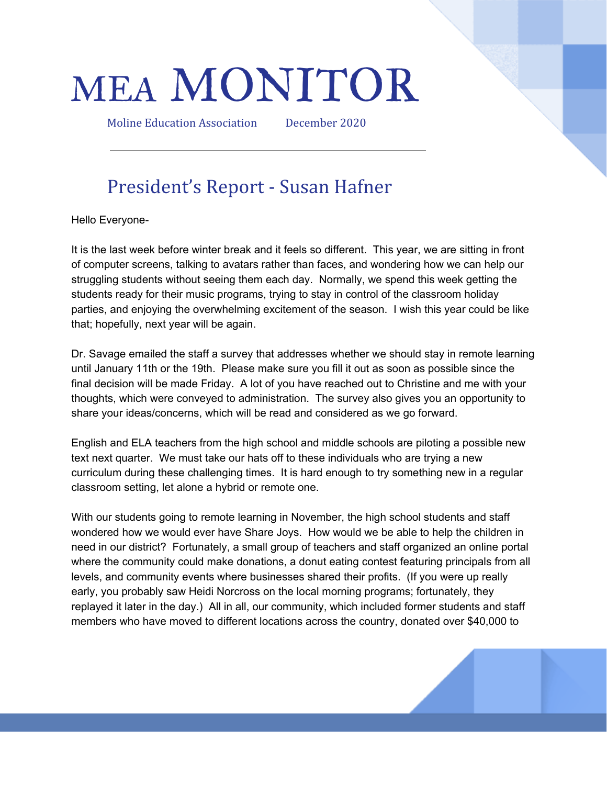# MEA MONITOR

Moline Education Association December 2020

# President's Report - Susan Hafner

Hello Everyone-

It is the last week before winter break and it feels so different. This year, we are sitting in front of computer screens, talking to avatars rather than faces, and wondering how we can help our struggling students without seeing them each day. Normally, we spend this week getting the students ready for their music programs, trying to stay in control of the classroom holiday parties, and enjoying the overwhelming excitement of the season. I wish this year could be like that; hopefully, next year will be again.

Dr. Savage emailed the staff a survey that addresses whether we should stay in remote learning until January 11th or the 19th. Please make sure you fill it out as soon as possible since the final decision will be made Friday. A lot of you have reached out to Christine and me with your thoughts, which were conveyed to administration. The survey also gives you an opportunity to share your ideas/concerns, which will be read and considered as we go forward.

English and ELA teachers from the high school and middle schools are piloting a possible new text next quarter. We must take our hats off to these individuals who are trying a new curriculum during these challenging times. It is hard enough to try something new in a regular classroom setting, let alone a hybrid or remote one.

With our students going to remote learning in November, the high school students and staff wondered how we would ever have Share Joys. How would we be able to help the children in need in our district? Fortunately, a small group of teachers and staff organized an online portal where the community could make donations, a donut eating contest featuring principals from all levels, and community events where businesses shared their profits. (If you were up really early, you probably saw Heidi Norcross on the local morning programs; fortunately, they replayed it later in the day.) All in all, our community, which included former students and staff members who have moved to different locations across the country, donated over \$40,000 to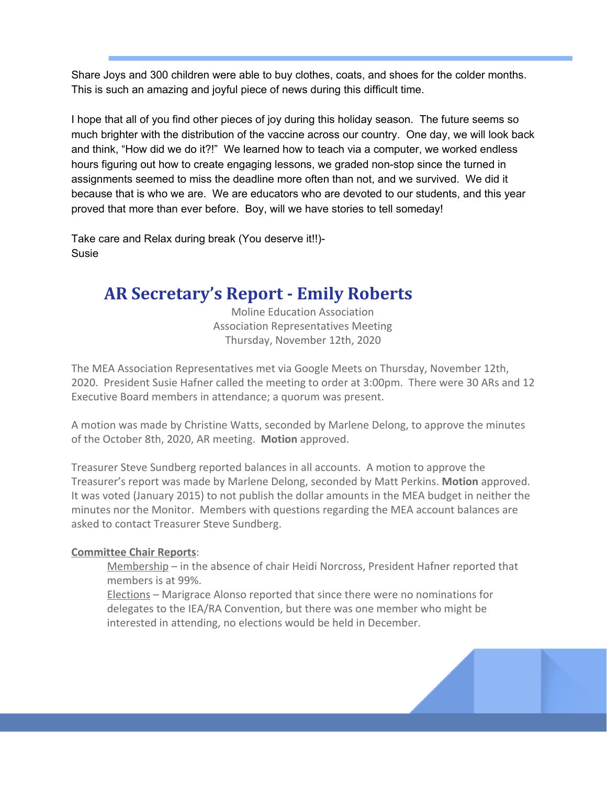Share Joys and 300 children were able to buy clothes, coats, and shoes for the colder months. This is such an amazing and joyful piece of news during this difficult time.

I hope that all of you find other pieces of joy during this holiday season. The future seems so much brighter with the distribution of the vaccine across our country. One day, we will look back and think, "How did we do it?!" We learned how to teach via a computer, we worked endless hours figuring out how to create engaging lessons, we graded non-stop since the turned in assignments seemed to miss the deadline more often than not, and we survived. We did it because that is who we are. We are educators who are devoted to our students, and this year proved that more than ever before. Boy, will we have stories to tell someday!

Take care and Relax during break (You deserve it!!)- Susie

### **AR Secretary's Report - Emily Roberts**

Moline Education Association Association Representatives Meeting Thursday, November 12th, 2020

The MEA Association Representatives met via Google Meets on Thursday, November 12th, 2020. President Susie Hafner called the meeting to order at 3:00pm. There were 30 ARs and 12 Executive Board members in attendance; a quorum was present.

A motion was made by Christine Watts, seconded by Marlene Delong, to approve the minutes of the October 8th, 2020, AR meeting. **Motion** approved.

Treasurer Steve Sundberg reported balances in all accounts. A motion to approve the Treasurer's report was made by Marlene Delong, seconded by Matt Perkins. **Motion** approved. It was voted (January 2015) to not publish the dollar amounts in the MEA budget in neither the minutes nor the Monitor. Members with questions regarding the MEA account balances are asked to contact Treasurer Steve Sundberg.

#### **Committee Chair Reports**:

Membership – in the absence of chair Heidi Norcross, President Hafner reported that members is at 99%.

Elections – Marigrace Alonso reported that since there were no nominations for delegates to the IEA/RA Convention, but there was one member who might be interested in attending, no elections would be held in December.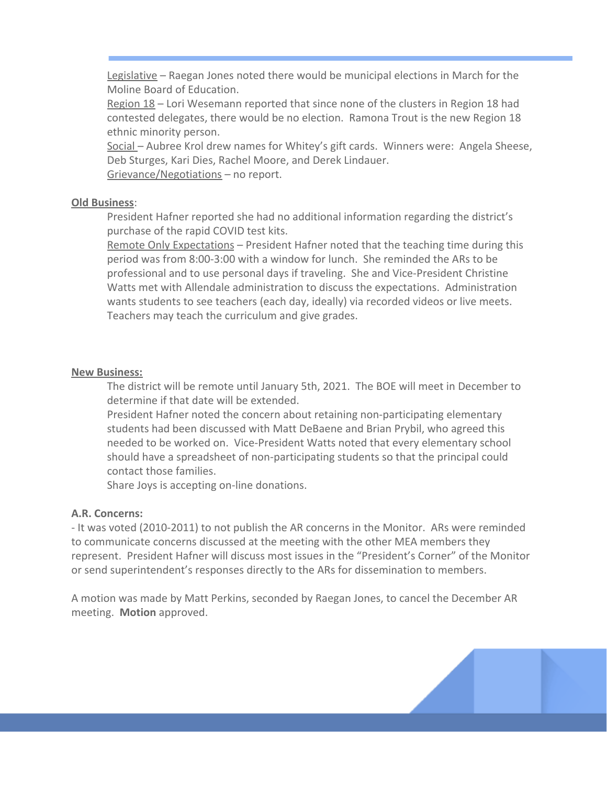Legislative – Raegan Jones noted there would be municipal elections in March for the Moline Board of Education.

Region 18 – Lori Wesemann reported that since none of the clusters in Region 18 had contested delegates, there would be no election. Ramona Trout is the new Region 18 ethnic minority person.

Social - Aubree Krol drew names for Whitey's gift cards. Winners were: Angela Sheese, Deb Sturges, Kari Dies, Rachel Moore, and Derek Lindauer. Grievance/Negotiations – no report.

#### **Old Business**:

President Hafner reported she had no additional information regarding the district's purchase of the rapid COVID test kits.

Remote Only Expectations - President Hafner noted that the teaching time during this period was from 8:00-3:00 with a window for lunch. She reminded the ARs to be professional and to use personal days if traveling. She and Vice-President Christine Watts met with Allendale administration to discuss the expectations. Administration wants students to see teachers (each day, ideally) via recorded videos or live meets. Teachers may teach the curriculum and give grades.

#### **New Business:**

The district will be remote until January 5th, 2021. The BOE will meet in December to determine if that date will be extended.

President Hafner noted the concern about retaining non-participating elementary students had been discussed with Matt DeBaene and Brian Prybil, who agreed this needed to be worked on. Vice-President Watts noted that every elementary school should have a spreadsheet of non-participating students so that the principal could contact those families.

Share Joys is accepting on-line donations.

#### **A.R. Concerns:**

- It was voted (2010-2011) to not publish the AR concerns in the Monitor. ARs were reminded to communicate concerns discussed at the meeting with the other MEA members they represent. President Hafner will discuss most issues in the "President's Corner" of the Monitor or send superintendent's responses directly to the ARs for dissemination to members.

A motion was made by Matt Perkins, seconded by Raegan Jones, to cancel the December AR meeting. **Motion** approved.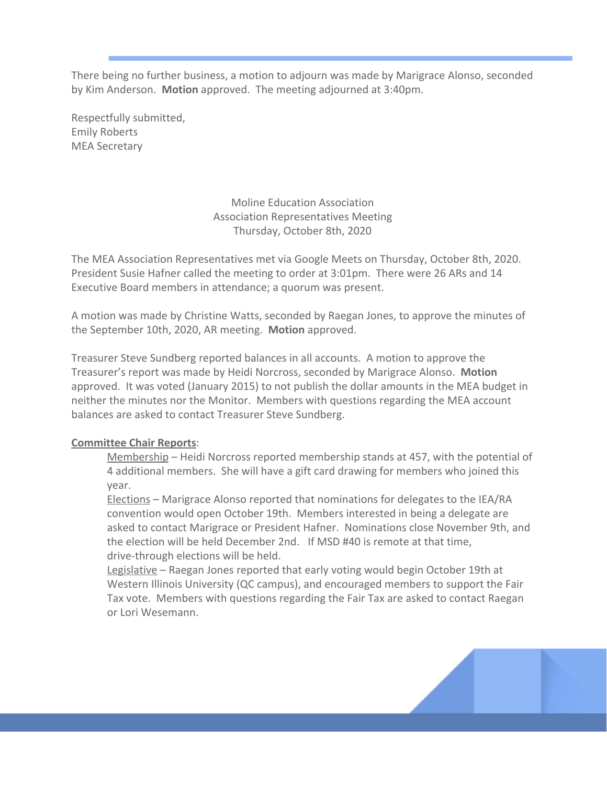There being no further business, a motion to adjourn was made by Marigrace Alonso, seconded by Kim Anderson. **Motion** approved. The meeting adjourned at 3:40pm.

Respectfully submitted, Emily Roberts MEA Secretary

> Moline Education Association Association Representatives Meeting Thursday, October 8th, 2020

The MEA Association Representatives met via Google Meets on Thursday, October 8th, 2020. President Susie Hafner called the meeting to order at 3:01pm. There were 26 ARs and 14 Executive Board members in attendance; a quorum was present.

A motion was made by Christine Watts, seconded by Raegan Jones, to approve the minutes of the September 10th, 2020, AR meeting. **Motion** approved.

Treasurer Steve Sundberg reported balances in all accounts. A motion to approve the Treasurer's report was made by Heidi Norcross, seconded by Marigrace Alonso. **Motion** approved. It was voted (January 2015) to not publish the dollar amounts in the MEA budget in neither the minutes nor the Monitor. Members with questions regarding the MEA account balances are asked to contact Treasurer Steve Sundberg.

#### **Committee Chair Reports**:

Membership – Heidi Norcross reported membership stands at 457, with the potential of 4 additional members. She will have a gift card drawing for members who joined this year.

Elections – Marigrace Alonso reported that nominations for delegates to the IEA/RA convention would open October 19th. Members interested in being a delegate are asked to contact Marigrace or President Hafner. Nominations close November 9th, and the election will be held December 2nd. If MSD #40 is remote at that time, drive-through elections will be held.

Legislative – Raegan Jones reported that early voting would begin October 19th at Western Illinois University (QC campus), and encouraged members to support the Fair Tax vote. Members with questions regarding the Fair Tax are asked to contact Raegan or Lori Wesemann.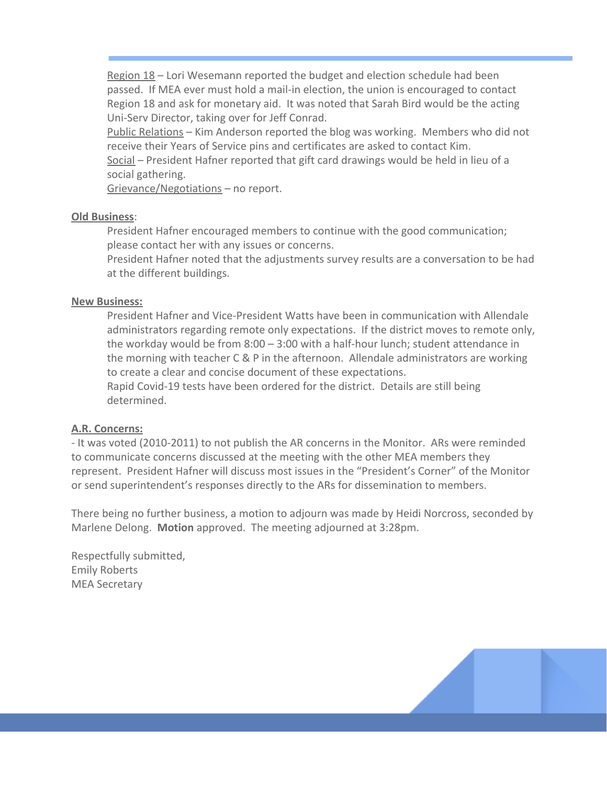Region 18 – Lori Wesemann reported the budget and election schedule had been passed. If MEA ever must hold a mail-in election, the union is encouraged to contact Region 18 and ask for monetary aid. It was noted that Sarah Bird would be the acting Uni-Serv Director, taking over for Jeff Conrad.

Public Relations – Kim Anderson reported the blog was working. Members who did not receive their Years of Service pins and certificates are asked to contact Kim.

Social – President Hafner reported that gift card drawings would be held in lieu of a social gathering.

Grievance/Negotiations – no report.

#### **Old Business**:

President Hafner encouraged members to continue with the good communication; please contact her with any issues or concerns.

President Hafner noted that the adjustments survey results are a conversation to be had at the different buildings.

#### **New Business:**

President Hafner and Vice-President Watts have been in communication with Allendale administrators regarding remote only expectations. If the district moves to remote only, the workday would be from 8:00 – 3:00 with a half-hour lunch; student attendance in the morning with teacher C & P in the afternoon. Allendale administrators are working to create a clear and concise document of these expectations.

Rapid Covid-19 tests have been ordered for the district. Details are still being determined.

#### **A.R. Concerns:**

- It was voted (2010-2011) to not publish the AR concerns in the Monitor. ARs were reminded to communicate concerns discussed at the meeting with the other MEA members they represent. President Hafner will discuss most issues in the "President's Corner" of the Monitor or send superintendent's responses directly to the ARs for dissemination to members.

There being no further business, a motion to adjourn was made by Heidi Norcross, seconded by Marlene Delong. **Motion** approved. The meeting adjourned at 3:28pm.

Respectfully submitted, Emily Roberts MEA Secretary